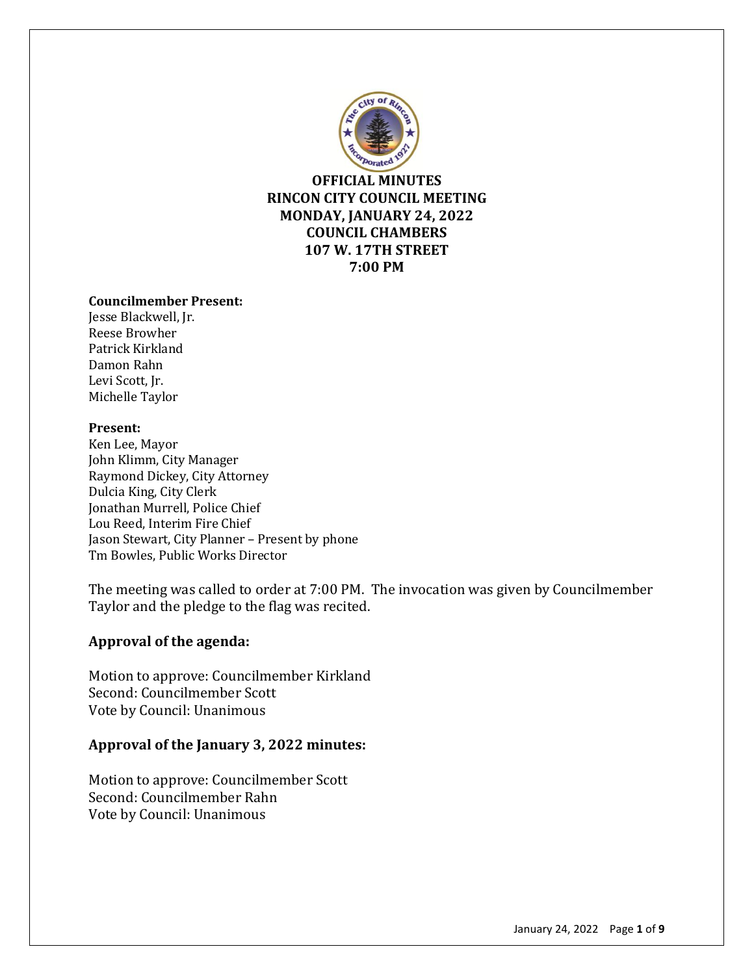

**OFFICIAL MINUTES RINCON CITY COUNCIL MEETING MONDAY, JANUARY 24, 2022 COUNCIL CHAMBERS 107 W. 17TH STREET 7:00 PM**

#### **Councilmember Present:**

Jesse Blackwell, Jr. Reese Browher Patrick Kirkland Damon Rahn Levi Scott, Jr. Michelle Taylor

#### **Present:**

Ken Lee, Mayor John Klimm, City Manager Raymond Dickey, City Attorney Dulcia King, City Clerk Jonathan Murrell, Police Chief Lou Reed, Interim Fire Chief Jason Stewart, City Planner – Present by phone Tm Bowles, Public Works Director

The meeting was called to order at 7:00 PM. The invocation was given by Councilmember Taylor and the pledge to the flag was recited.

# **Approval of the agenda:**

Motion to approve: Councilmember Kirkland Second: Councilmember Scott Vote by Council: Unanimous

### **Approval of the January 3, 2022 minutes:**

Motion to approve: Councilmember Scott Second: Councilmember Rahn Vote by Council: Unanimous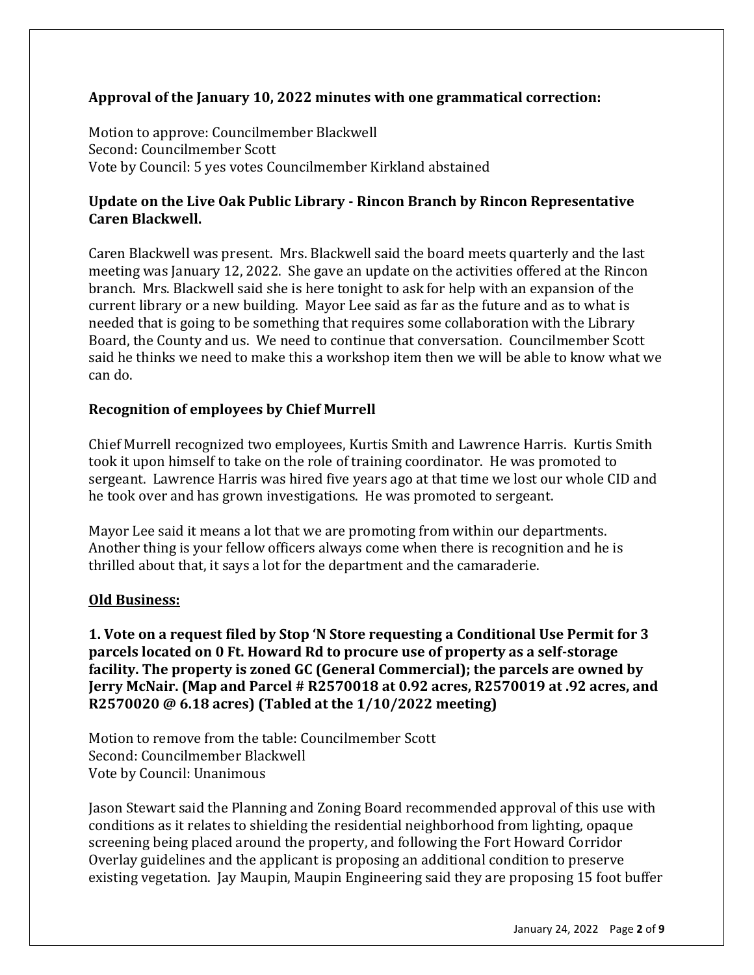# **Approval of the January 10, 2022 minutes with one grammatical correction:**

Motion to approve: Councilmember Blackwell Second: Councilmember Scott Vote by Council: 5 yes votes Councilmember Kirkland abstained

# **Update on the Live Oak Public Library - Rincon Branch by Rincon Representative Caren Blackwell.**

Caren Blackwell was present. Mrs. Blackwell said the board meets quarterly and the last meeting was January 12, 2022. She gave an update on the activities offered at the Rincon branch. Mrs. Blackwell said she is here tonight to ask for help with an expansion of the current library or a new building. Mayor Lee said as far as the future and as to what is needed that is going to be something that requires some collaboration with the Library Board, the County and us. We need to continue that conversation. Councilmember Scott said he thinks we need to make this a workshop item then we will be able to know what we can do.

# **Recognition of employees by Chief Murrell**

Chief Murrell recognized two employees, Kurtis Smith and Lawrence Harris. Kurtis Smith took it upon himself to take on the role of training coordinator. He was promoted to sergeant. Lawrence Harris was hired five years ago at that time we lost our whole CID and he took over and has grown investigations. He was promoted to sergeant.

Mayor Lee said it means a lot that we are promoting from within our departments. Another thing is your fellow officers always come when there is recognition and he is thrilled about that, it says a lot for the department and the camaraderie.

# **Old Business:**

**1. Vote on a request filed by Stop 'N Store requesting a Conditional Use Permit for 3 parcels located on 0 Ft. Howard Rd to procure use of property as a self-storage facility. The property is zoned GC (General Commercial); the parcels are owned by Jerry McNair. (Map and Parcel # R2570018 at 0.92 acres, R2570019 at .92 acres, and R2570020 @ 6.18 acres) (Tabled at the 1/10/2022 meeting)**

Motion to remove from the table: Councilmember Scott Second: Councilmember Blackwell Vote by Council: Unanimous

Jason Stewart said the Planning and Zoning Board recommended approval of this use with conditions as it relates to shielding the residential neighborhood from lighting, opaque screening being placed around the property, and following the Fort Howard Corridor Overlay guidelines and the applicant is proposing an additional condition to preserve existing vegetation. Jay Maupin, Maupin Engineering said they are proposing 15 foot buffer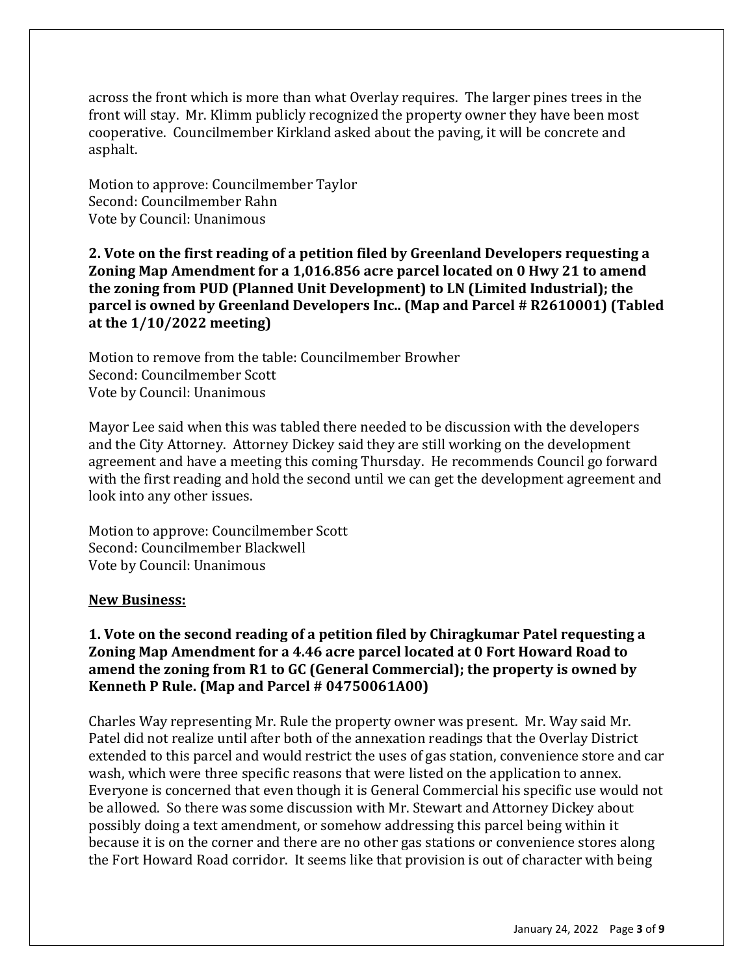across the front which is more than what Overlay requires. The larger pines trees in the front will stay. Mr. Klimm publicly recognized the property owner they have been most cooperative. Councilmember Kirkland asked about the paving, it will be concrete and asphalt.

Motion to approve: Councilmember Taylor Second: Councilmember Rahn Vote by Council: Unanimous

**2. Vote on the first reading of a petition filed by Greenland Developers requesting a Zoning Map Amendment for a 1,016.856 acre parcel located on 0 Hwy 21 to amend the zoning from PUD (Planned Unit Development) to LN (Limited Industrial); the parcel is owned by Greenland Developers Inc.. (Map and Parcel # R2610001) (Tabled at the 1/10/2022 meeting)**

Motion to remove from the table: Councilmember Browher Second: Councilmember Scott Vote by Council: Unanimous

Mayor Lee said when this was tabled there needed to be discussion with the developers and the City Attorney. Attorney Dickey said they are still working on the development agreement and have a meeting this coming Thursday. He recommends Council go forward with the first reading and hold the second until we can get the development agreement and look into any other issues.

Motion to approve: Councilmember Scott Second: Councilmember Blackwell Vote by Council: Unanimous

#### **New Business:**

# **1. Vote on the second reading of a petition filed by Chiragkumar Patel requesting a Zoning Map Amendment for a 4.46 acre parcel located at 0 Fort Howard Road to amend the zoning from R1 to GC (General Commercial); the property is owned by Kenneth P Rule. (Map and Parcel # 04750061A00)**

Charles Way representing Mr. Rule the property owner was present. Mr. Way said Mr. Patel did not realize until after both of the annexation readings that the Overlay District extended to this parcel and would restrict the uses of gas station, convenience store and car wash, which were three specific reasons that were listed on the application to annex. Everyone is concerned that even though it is General Commercial his specific use would not be allowed. So there was some discussion with Mr. Stewart and Attorney Dickey about possibly doing a text amendment, or somehow addressing this parcel being within it because it is on the corner and there are no other gas stations or convenience stores along the Fort Howard Road corridor. It seems like that provision is out of character with being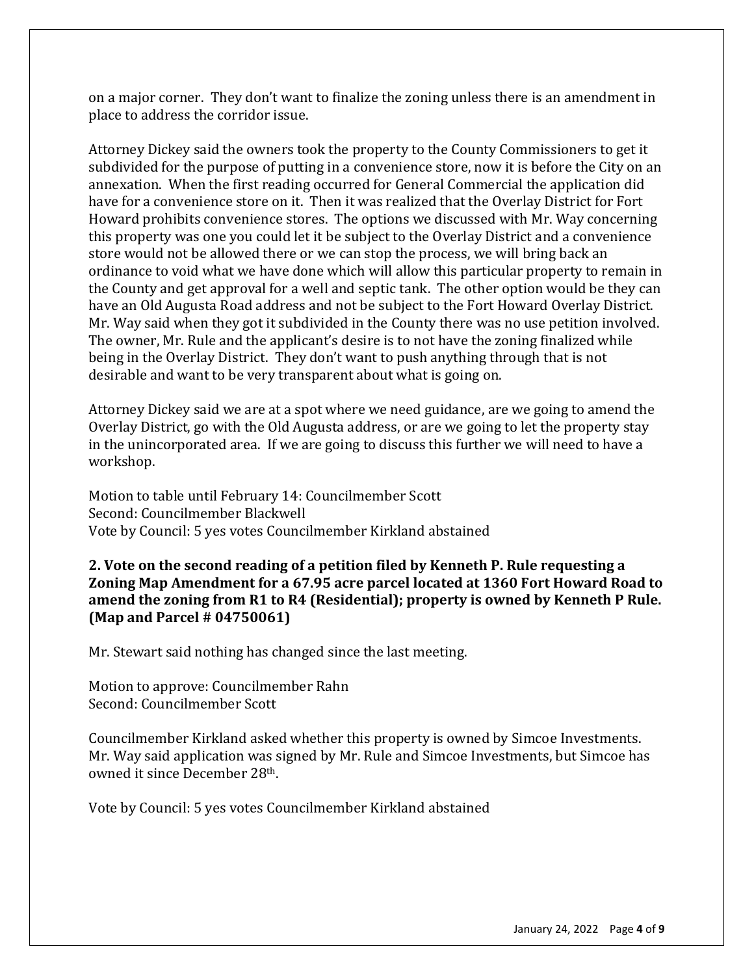on a major corner. They don't want to finalize the zoning unless there is an amendment in place to address the corridor issue.

Attorney Dickey said the owners took the property to the County Commissioners to get it subdivided for the purpose of putting in a convenience store, now it is before the City on an annexation. When the first reading occurred for General Commercial the application did have for a convenience store on it. Then it was realized that the Overlay District for Fort Howard prohibits convenience stores. The options we discussed with Mr. Way concerning this property was one you could let it be subject to the Overlay District and a convenience store would not be allowed there or we can stop the process, we will bring back an ordinance to void what we have done which will allow this particular property to remain in the County and get approval for a well and septic tank. The other option would be they can have an Old Augusta Road address and not be subject to the Fort Howard Overlay District. Mr. Way said when they got it subdivided in the County there was no use petition involved. The owner, Mr. Rule and the applicant's desire is to not have the zoning finalized while being in the Overlay District. They don't want to push anything through that is not desirable and want to be very transparent about what is going on.

Attorney Dickey said we are at a spot where we need guidance, are we going to amend the Overlay District, go with the Old Augusta address, or are we going to let the property stay in the unincorporated area. If we are going to discuss this further we will need to have a workshop.

Motion to table until February 14: Councilmember Scott Second: Councilmember Blackwell Vote by Council: 5 yes votes Councilmember Kirkland abstained

**2. Vote on the second reading of a petition filed by Kenneth P. Rule requesting a Zoning Map Amendment for a 67.95 acre parcel located at 1360 Fort Howard Road to amend the zoning from R1 to R4 (Residential); property is owned by Kenneth P Rule. (Map and Parcel # 04750061)**

Mr. Stewart said nothing has changed since the last meeting.

Motion to approve: Councilmember Rahn Second: Councilmember Scott

Councilmember Kirkland asked whether this property is owned by Simcoe Investments. Mr. Way said application was signed by Mr. Rule and Simcoe Investments, but Simcoe has owned it since December 28th.

Vote by Council: 5 yes votes Councilmember Kirkland abstained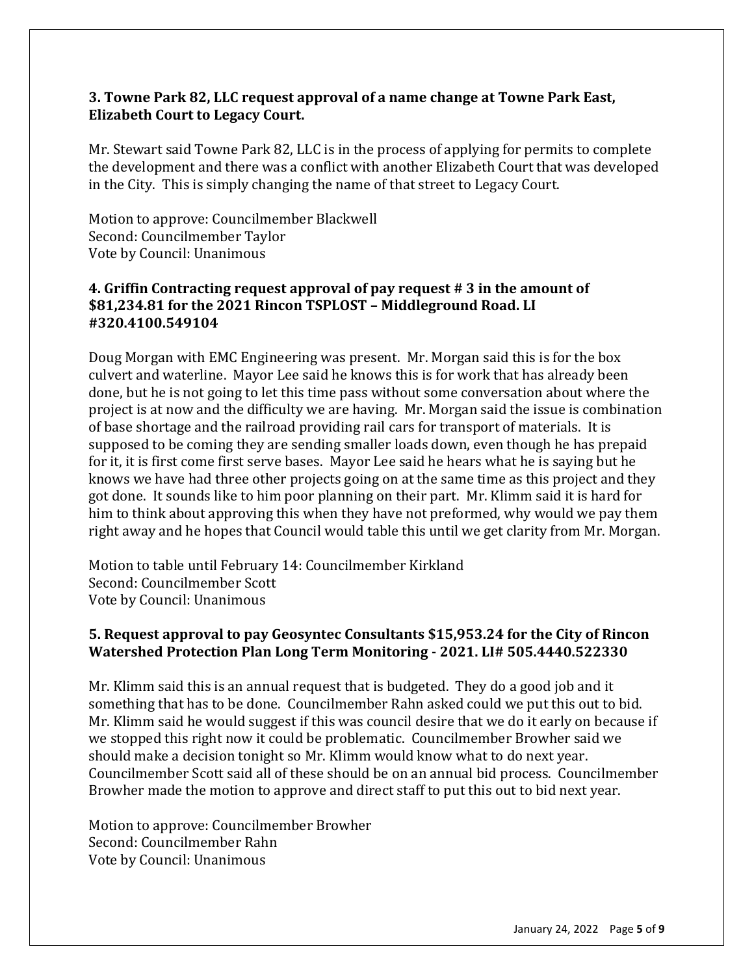# **3. Towne Park 82, LLC request approval of a name change at Towne Park East, Elizabeth Court to Legacy Court.**

Mr. Stewart said Towne Park 82, LLC is in the process of applying for permits to complete the development and there was a conflict with another Elizabeth Court that was developed in the City. This is simply changing the name of that street to Legacy Court.

Motion to approve: Councilmember Blackwell Second: Councilmember Taylor Vote by Council: Unanimous

### **4. Griffin Contracting request approval of pay request # 3 in the amount of \$81,234.81 for the 2021 Rincon TSPLOST – Middleground Road. LI #320.4100.549104**

Doug Morgan with EMC Engineering was present. Mr. Morgan said this is for the box culvert and waterline. Mayor Lee said he knows this is for work that has already been done, but he is not going to let this time pass without some conversation about where the project is at now and the difficulty we are having. Mr. Morgan said the issue is combination of base shortage and the railroad providing rail cars for transport of materials. It is supposed to be coming they are sending smaller loads down, even though he has prepaid for it, it is first come first serve bases. Mayor Lee said he hears what he is saying but he knows we have had three other projects going on at the same time as this project and they got done. It sounds like to him poor planning on their part. Mr. Klimm said it is hard for him to think about approving this when they have not preformed, why would we pay them right away and he hopes that Council would table this until we get clarity from Mr. Morgan.

Motion to table until February 14: Councilmember Kirkland Second: Councilmember Scott Vote by Council: Unanimous

# **5. Request approval to pay Geosyntec Consultants \$15,953.24 for the City of Rincon Watershed Protection Plan Long Term Monitoring - 2021. LI# 505.4440.522330**

Mr. Klimm said this is an annual request that is budgeted. They do a good job and it something that has to be done. Councilmember Rahn asked could we put this out to bid. Mr. Klimm said he would suggest if this was council desire that we do it early on because if we stopped this right now it could be problematic. Councilmember Browher said we should make a decision tonight so Mr. Klimm would know what to do next year. Councilmember Scott said all of these should be on an annual bid process. Councilmember Browher made the motion to approve and direct staff to put this out to bid next year.

Motion to approve: Councilmember Browher Second: Councilmember Rahn Vote by Council: Unanimous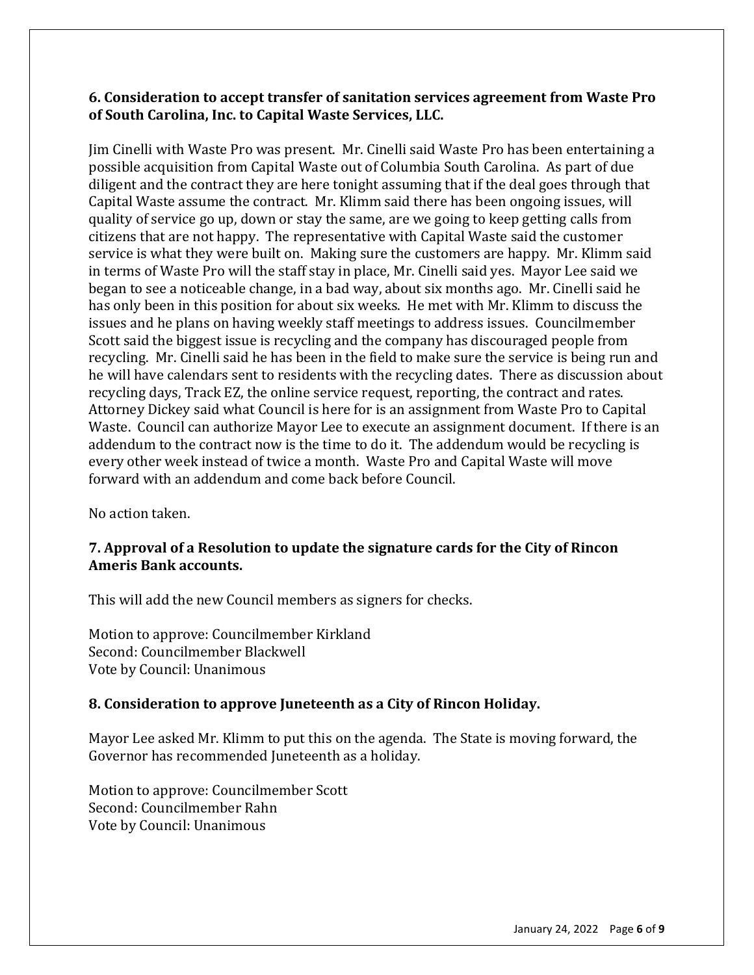## **6. Consideration to accept transfer of sanitation services agreement from Waste Pro of South Carolina, Inc. to Capital Waste Services, LLC.**

Jim Cinelli with Waste Pro was present. Mr. Cinelli said Waste Pro has been entertaining a possible acquisition from Capital Waste out of Columbia South Carolina. As part of due diligent and the contract they are here tonight assuming that if the deal goes through that Capital Waste assume the contract. Mr. Klimm said there has been ongoing issues, will quality of service go up, down or stay the same, are we going to keep getting calls from citizens that are not happy. The representative with Capital Waste said the customer service is what they were built on. Making sure the customers are happy. Mr. Klimm said in terms of Waste Pro will the staff stay in place, Mr. Cinelli said yes. Mayor Lee said we began to see a noticeable change, in a bad way, about six months ago. Mr. Cinelli said he has only been in this position for about six weeks. He met with Mr. Klimm to discuss the issues and he plans on having weekly staff meetings to address issues. Councilmember Scott said the biggest issue is recycling and the company has discouraged people from recycling. Mr. Cinelli said he has been in the field to make sure the service is being run and he will have calendars sent to residents with the recycling dates. There as discussion about recycling days, Track EZ, the online service request, reporting, the contract and rates. Attorney Dickey said what Council is here for is an assignment from Waste Pro to Capital Waste. Council can authorize Mayor Lee to execute an assignment document. If there is an addendum to the contract now is the time to do it. The addendum would be recycling is every other week instead of twice a month. Waste Pro and Capital Waste will move forward with an addendum and come back before Council.

No action taken.

# **7. Approval of a Resolution to update the signature cards for the City of Rincon Ameris Bank accounts.**

This will add the new Council members as signers for checks.

Motion to approve: Councilmember Kirkland Second: Councilmember Blackwell Vote by Council: Unanimous

#### **8. Consideration to approve Juneteenth as a City of Rincon Holiday.**

Mayor Lee asked Mr. Klimm to put this on the agenda. The State is moving forward, the Governor has recommended Juneteenth as a holiday.

Motion to approve: Councilmember Scott Second: Councilmember Rahn Vote by Council: Unanimous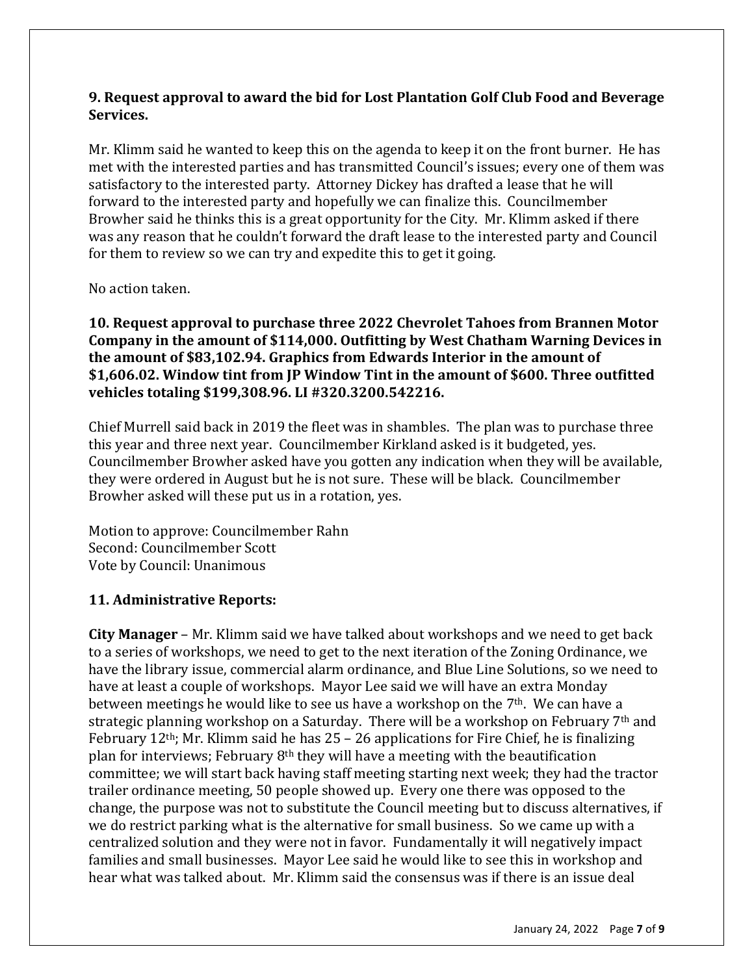# **9. Request approval to award the bid for Lost Plantation Golf Club Food and Beverage Services.**

Mr. Klimm said he wanted to keep this on the agenda to keep it on the front burner. He has met with the interested parties and has transmitted Council's issues; every one of them was satisfactory to the interested party. Attorney Dickey has drafted a lease that he will forward to the interested party and hopefully we can finalize this. Councilmember Browher said he thinks this is a great opportunity for the City. Mr. Klimm asked if there was any reason that he couldn't forward the draft lease to the interested party and Council for them to review so we can try and expedite this to get it going.

No action taken.

**10. Request approval to purchase three 2022 Chevrolet Tahoes from Brannen Motor Company in the amount of \$114,000. Outfitting by West Chatham Warning Devices in the amount of \$83,102.94. Graphics from Edwards Interior in the amount of \$1,606.02. Window tint from JP Window Tint in the amount of \$600. Three outfitted vehicles totaling \$199,308.96. LI #320.3200.542216.**

Chief Murrell said back in 2019 the fleet was in shambles. The plan was to purchase three this year and three next year. Councilmember Kirkland asked is it budgeted, yes. Councilmember Browher asked have you gotten any indication when they will be available, they were ordered in August but he is not sure. These will be black. Councilmember Browher asked will these put us in a rotation, yes.

Motion to approve: Councilmember Rahn Second: Councilmember Scott Vote by Council: Unanimous

# **11. Administrative Reports:**

**City Manager** – Mr. Klimm said we have talked about workshops and we need to get back to a series of workshops, we need to get to the next iteration of the Zoning Ordinance, we have the library issue, commercial alarm ordinance, and Blue Line Solutions, so we need to have at least a couple of workshops. Mayor Lee said we will have an extra Monday between meetings he would like to see us have a workshop on the 7<sup>th</sup>. We can have a strategic planning workshop on a Saturday. There will be a workshop on February 7<sup>th</sup> and February  $12<sup>th</sup>$ ; Mr. Klimm said he has 25 – 26 applications for Fire Chief, he is finalizing plan for interviews; February 8th they will have a meeting with the beautification committee; we will start back having staff meeting starting next week; they had the tractor trailer ordinance meeting, 50 people showed up. Every one there was opposed to the change, the purpose was not to substitute the Council meeting but to discuss alternatives, if we do restrict parking what is the alternative for small business. So we came up with a centralized solution and they were not in favor. Fundamentally it will negatively impact families and small businesses. Mayor Lee said he would like to see this in workshop and hear what was talked about. Mr. Klimm said the consensus was if there is an issue deal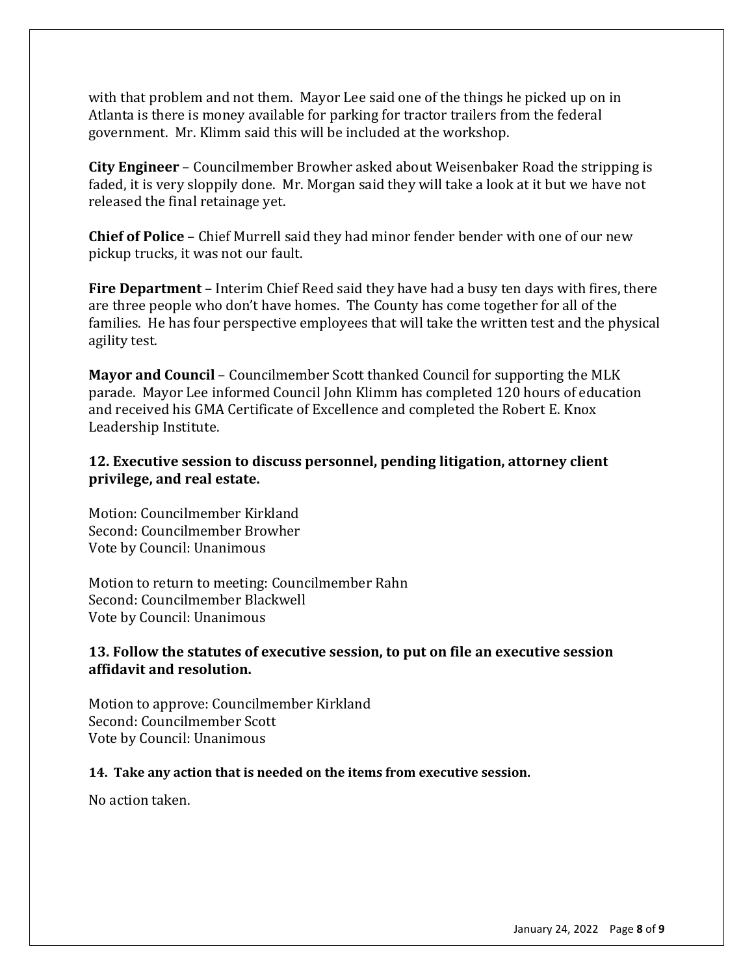with that problem and not them. Mayor Lee said one of the things he picked up on in Atlanta is there is money available for parking for tractor trailers from the federal government. Mr. Klimm said this will be included at the workshop.

**City Engineer** – Councilmember Browher asked about Weisenbaker Road the stripping is faded, it is very sloppily done. Mr. Morgan said they will take a look at it but we have not released the final retainage yet.

**Chief of Police** – Chief Murrell said they had minor fender bender with one of our new pickup trucks, it was not our fault.

**Fire Department** – Interim Chief Reed said they have had a busy ten days with fires, there are three people who don't have homes. The County has come together for all of the families. He has four perspective employees that will take the written test and the physical agility test.

**Mayor and Council** – Councilmember Scott thanked Council for supporting the MLK parade. Mayor Lee informed Council John Klimm has completed 120 hours of education and received his GMA Certificate of Excellence and completed the Robert E. Knox Leadership Institute.

# **12. Executive session to discuss personnel, pending litigation, attorney client privilege, and real estate.**

Motion: Councilmember Kirkland Second: Councilmember Browher Vote by Council: Unanimous

Motion to return to meeting: Councilmember Rahn Second: Councilmember Blackwell Vote by Council: Unanimous

# **13. Follow the statutes of executive session, to put on file an executive session affidavit and resolution.**

Motion to approve: Councilmember Kirkland Second: Councilmember Scott Vote by Council: Unanimous

# **14. Take any action that is needed on the items from executive session.**

No action taken.